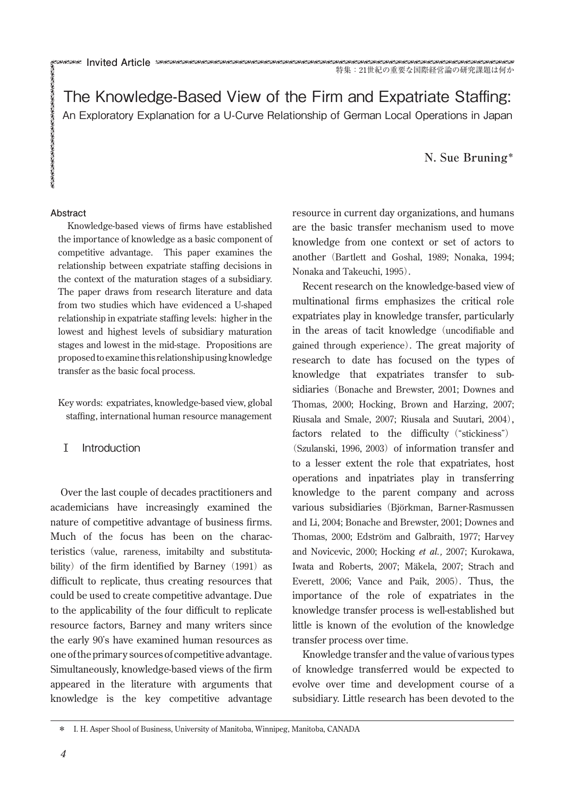The Knowledge-Based View of the Firm and Expatriate Staffing: An Exploratory Explanation for a U-Curve Relationship of German Local Operations in Japan

**N. Sue Bruning\***

#### **Abstract**

Knowledge-based views of firms have established the importance of knowledge as a basic component of competitive advantage. This paper examines the relationship between expatriate staffing decisions in the context of the maturation stages of a subsidiary. The paper draws from research literature and data from two studies which have evidenced a U-shaped relationship in expatriate staffing levels: higher in the lowest and highest levels of subsidiary maturation stages and lowest in the mid-stage. Propositions are proposedtoexaminethis relationshipusingknowledge transfer as the basic focal process.

Key words: expatriates, knowledge-based view, global staffing, international human resource management

#### Ⅰ Introduction

Over the last couple of decades practitioners and academicians have increasingly examined the nature of competitive advantage of business firms. Much of the focus has been on the characteristics(value, rareness, imitabilty and substitutability) of the firm identified by Barney  $(1991)$  as difficult to replicate, thus creating resources that could be used to create competitive advantage. Due to the applicability of the four difficult to replicate resource factors, Barney and many writers since the early 90's have examined human resources as one ofthe primary sources of competitive advantage. Simultaneously, knowledge-based views of the firm appeared in the literature with arguments that knowledge is the key competitive advantage resource in current day organizations, and humans are the basic transfer mechanism used to move knowledge from one context or set of actors to another (Bartlett and Goshal, 1989; Nonaka, 1994; Nonaka and Takeuchi, 1995).

Recent research on the knowledge-based view of multinational firms emphasizes the critical role expatriates play in knowledge transfer, particularly in the areas of tacit knowledge (uncodifiable and gained through experience). The great majority of research to date has focused on the types of knowledge that expatriates transfer to subsidiaries (Bonache and Brewster, 2001; Downes and Thomas, 2000; Hocking, Brown and Harzing, 2007; Riusala and Smale, 2007; Riusala and Suutari, 2004), factors related to the difficulty ("stickiness") (Szulanski, 1996, 2003) of information transfer and to a lesser extent the role that expatriates, host operations and inpatriates play in transferring knowledge to the parent company and across various subsidiaries (Björkman, Barner-Rasmussen and Li, 2004; Bonache and Brewster, 2001; Downes and Thomas, 2000; Edström and Galbraith, 1977; Harvey and Novicevic, 2000; Hocking *et al.,* 2007; Kurokawa, Iwata and Roberts, 2007; Mäkela, 2007; Strach and Everett, 2006; Vance and Paik, 2005). Thus, the importance of the role of expatriates in the knowledge transfer process is well-established but little is known of the evolution of the knowledge transfer process over time.

Knowledge transfer and the value of various types of knowledge transferred would be expected to evolve over time and development course of a subsidiary. Little research has been devoted to the

<sup>\*</sup> I. H. Asper Shool of Business, University of Manitoba, Winnipeg, Manitoba, CANADA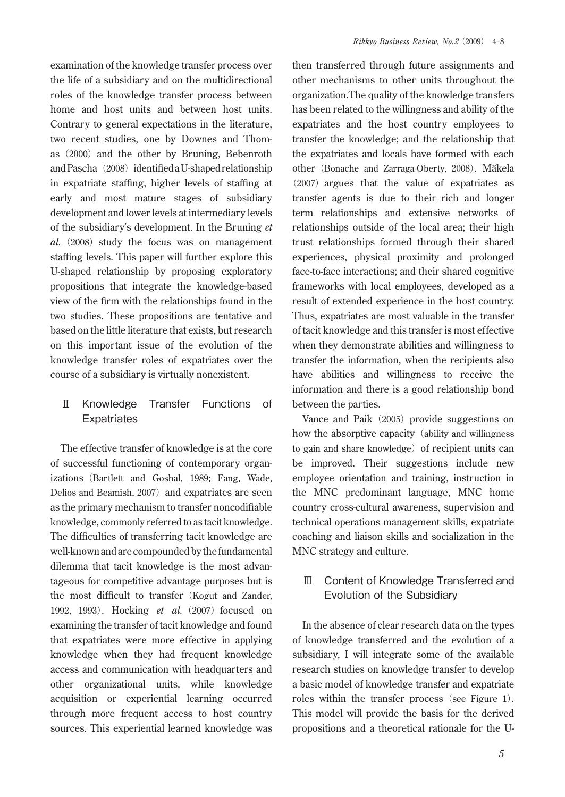examination of the knowledge transfer process over the life of a subsidiary and on the multidirectional roles of the knowledge transfer process between home and host units and between host units. Contrary to general expectations in the literature, two recent studies, one by Downes and Thomas (2000) and the other by Bruning, Bebenroth and Pascha (2008) identified a U-shaped relationship in expatriate staffing, higher levels of staffing at early and most mature stages of subsidiary development and lower levels at intermediary levels of the subsidiary's development. In the Bruning *et al.* (2008) study the focus was on management staffing levels. This paper will further explore this U-shaped relationship by proposing exploratory propositions that integrate the knowledge-based view of the firm with the relationships found in the two studies. These propositions are tentative and based on the little literature that exists, but research on this important issue of the evolution of the knowledge transfer roles of expatriates over the course of a subsidiary is virtually nonexistent.

## Ⅱ Knowledge Transfer Functions of **Expatriates**

The effective transfer of knowledge is at the core of successful functioning of contemporary organizations(Bartlett and Goshal, 1989; Fang, Wade, Delios and Beamish, 2007) and expatriates are seen as the primary mechanism to transfer noncodifiable knowledge, commonly referred to as tacit knowledge. The difficulties of transferring tacit knowledge are well-known and are compounded by the fundamental dilemma that tacit knowledge is the most advantageous for competitive advantage purposes but is the most difficult to transfer (Kogut and Zander, 1992, 1993). Hocking *et al.* (2007) focused on examining the transfer of tacit knowledge and found that expatriates were more effective in applying knowledge when they had frequent knowledge access and communication with headquarters and other organizational units, while knowledge acquisition or experiential learning occurred through more frequent access to host country sources. This experiential learned knowledge was then transferred through future assignments and other mechanisms to other units throughout the organization.The quality of the knowledge transfers has been related to the willingness and ability of the expatriates and the host country employees to transfer the knowledge; and the relationship that the expatriates and locals have formed with each other (Bonache and Zarraga-Oberty, 2008). Mäkela ︵2007)argues that the value of expatriates as transfer agents is due to their rich and longer term relationships and extensive networks of relationships outside of the local area; their high trust relationships formed through their shared experiences, physical proximity and prolonged face-to-face interactions; and their shared cognitive frameworks with local employees, developed as a result of extended experience in the host country. Thus, expatriates are most valuable in the transfer of tacit knowledge and this transfer is most effective when they demonstrate abilities and willingness to transfer the information, when the recipients also have abilities and willingness to receive the information and there is a good relationship bond between the parties.

Vance and Paik (2005) provide suggestions on how the absorptive capacity (ability and willingness to gain and share knowledge) of recipient units can be improved. Their suggestions include new employee orientation and training, instruction in the MNC predominant language, MNC home country cross-cultural awareness, supervision and technical operations management skills, expatriate coaching and liaison skills and socialization in the MNC strategy and culture.

# Ⅲ Content of Knowledge Transferred and Evolution of the Subsidiary

In the absence of clear research data on the types of knowledge transferred and the evolution of a subsidiary, I will integrate some of the available research studies on knowledge transfer to develop a basic model of knowledge transfer and expatriate roles within the transfer process (see Figure 1). This model will provide the basis for the derived propositions and a theoretical rationale for the U-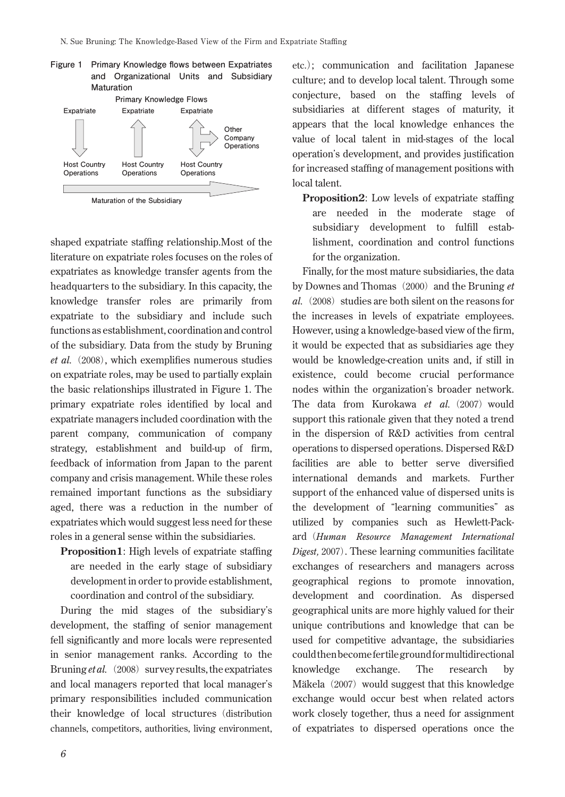

shaped expatriate staffing relationship.Most of the literature on expatriate roles focuses on the roles of expatriates as knowledge transfer agents from the headquarters to the subsidiary. In this capacity, the knowledge transfer roles are primarily from expatriate to the subsidiary and include such functions as establishment, coordination and control of the subsidiary. Data from the study by Bruning et al. (2008), which exemplifies numerous studies on expatriate roles, may be used to partially explain the basic relationships illustrated in Figure 1. The primary expatriate roles identified by local and expatriate managers included coordination with the parent company, communication of company strategy, establishment and build-up of firm, feedback of information from Japan to the parent company and crisis management. While these roles remained important functions as the subsidiary aged, there was a reduction in the number of expatriates which would suggest less need for these roles in a general sense within the subsidiaries.

**Proposition1**: High levels of expatriate staffing are needed in the early stage of subsidiary development in order to provide establishment, coordination and control of the subsidiary.

During the mid stages of the subsidiary's development, the staffing of senior management fell significantly and more locals were represented in senior management ranks. According to the Bruning *et al.* (2008) survey results, the expatriates and local managers reported that local manager's primary responsibilities included communication their knowledge of local structures (distribution channels, competitors, authorities, living environment, etc.); communication and facilitation Japanese culture; and to develop local talent. Through some conjecture, based on the staffing levels of subsidiaries at different stages of maturity, it appears that the local knowledge enhances the value of local talent in mid-stages of the local operation's development, and provides justification for increased staffing of management positions with local talent.

**Proposition2**: Low levels of expatriate staffing are needed in the moderate stage of subsidiary development to fulfill establishment, coordination and control functions for the organization.

Finally, for the most mature subsidiaries, the data by Downes and Thomas (2000) and the Bruning *et al.*(2008) studies are both silent on the reasons for the increases in levels of expatriate employees. However, using a knowledge-based view of the firm, it would be expected that as subsidiaries age they would be knowledge-creation units and, if still in existence, could become crucial performance nodes within the organization's broader network. The data from Kurokawa et al. (2007) would support this rationale given that they noted a trend in the dispersion of R&D activities from central operations to dispersed operations. Dispersed R&D facilities are able to better serve diversified international demands and markets. Further support of the enhanced value of dispersed units is the development of "learning communities" as utilized by companies such as Hewlett-Packard(*Human Resource Management International Digest,* 2007). These learning communities facilitate exchanges of researchers and managers across geographical regions to promote innovation, development and coordination. As dispersed geographical units are more highly valued for their unique contributions and knowledge that can be used for competitive advantage, the subsidiaries couldthenbecomefertilegroundformultidirectional knowledge exchange. The research by Mäkela (2007) would suggest that this knowledge exchange would occur best when related actors work closely together, thus a need for assignment of expatriates to dispersed operations once the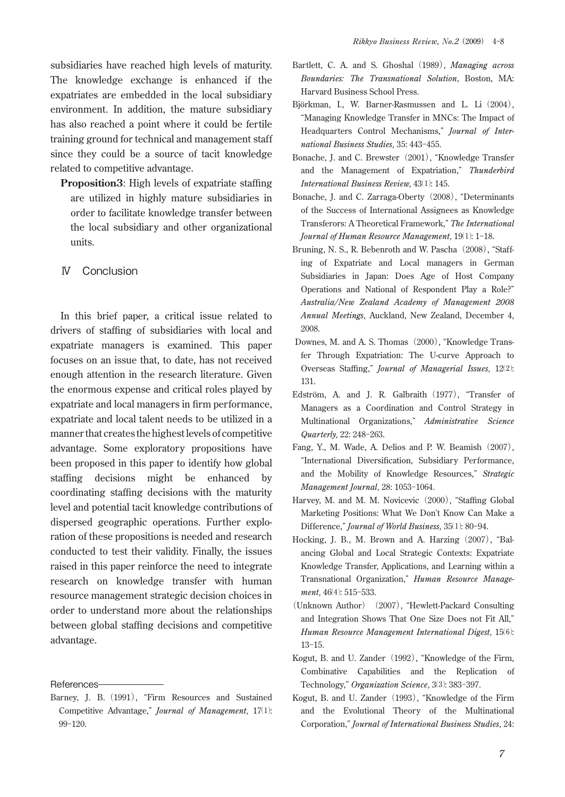subsidiaries have reached high levels of maturity. The knowledge exchange is enhanced if the expatriates are embedded in the local subsidiary environment. In addition, the mature subsidiary has also reached a point where it could be fertile training ground for technical and management staff since they could be a source of tacit knowledge related to competitive advantage.

**Proposition3**: High levels of expatriate staffing are utilized in highly mature subsidiaries in order to facilitate knowledge transfer between the local subsidiary and other organizational units.

### Ⅳ Conclusion

In this brief paper, a critical issue related to drivers of staffing of subsidiaries with local and expatriate managers is examined. This paper focuses on an issue that, to date, has not received enough attention in the research literature. Given the enormous expense and critical roles played by expatriate and local managers in firm performance, expatriate and local talent needs to be utilized in a mannerthat creates the highestlevels of competitive advantage. Some exploratory propositions have been proposed in this paper to identify how global staffing decisions might be enhanced by coordinating staffing decisions with the maturity level and potential tacit knowledge contributions of dispersed geographic operations. Further exploration of these propositions is needed and research conducted to test their validity. Finally, the issues raised in this paper reinforce the need to integrate research on knowledge transfer with human resource management strategic decision choices in order to understand more about the relationships between global staffing decisions and competitive advantage.

References

- Bartlett, C. A. and S. Ghoshal (1989), *Managing across Boundaries: The Transnational Solution*, Boston, MA: Harvard Business School Press.
- Björkman, I., W. Barner-Rasmussen and L. Li (2004), "Managing Knowledge Transfer in MNCs: The Impact of Headquarters Control Mechanisms," *Journal of International Business Studies,* 35: 443-455.
- Bonache, J. and C. Brewster (2001), "Knowledge Transfer and the Management of Expatriation," *Thunderbird International Business Review,* 43⑴: 145.
- Bonache, J. and C. Zarraga-Oberty (2008), "Determinants of the Success of International Assignees as Knowledge Transferors: A Theoretical Framework," *The International Journal of Human Resource Management,* 19⑴: 1-18.
- Bruning, N. S., R. Bebenroth and W. Pascha (2008), "Staffing of Expatriate and Local managers in German Subsidiaries in Japan: Does Age of Host Company Operations and National of Respondent Play a Role?" *Australia/New Zealand Academy of Management 2008 Annual Meetings,* Auckland, New Zealand, December 4, 2008.
- Downes, M. and A. S. Thomas (2000), "Knowledge Transfer Through Expatriation: The U-curve Approach to Overseas Staffing," *Journal of Managerial Issues,* 12⑵: 131.
- Edström, A. and J. R. Galbraith (1977), "Transfer of Managers as a Coordination and Control Strategy in Multinational Organizations," *Administrative Science Quarterly,* 22: 248-263.
- Fang, Y., M. Wade, A. Delios and P. W. Beamish (2007), "International Diversification, Subsidiary Performance, and the Mobility of Knowledge Resources," *Strategic Management Journal,* 28: 1053-1064.
- Harvey, M. and M. M. Novicevic (2000), "Staffing Global Marketing Positions: What We Don't Know Can Make a Difference," *Journal of World Business,* 35⑴: 80-94.
- Hocking, J. B., M. Brown and A. Harzing (2007), "Balancing Global and Local Strategic Contexts: Expatriate Knowledge Transfer, Applications, and Learning within a Transnational Organization," *Human Resource Manage*ment, 46(4): 515-533.
- ︵Unknown Author)(2007︶, "Hewlett-Packard Consulting and Integration Shows That One Size Does not Fit All," *Human Resource Management International Digest,* 15⑹: 13-15.
- Kogut, B. and U. Zander (1992), "Knowledge of the Firm, Combinative Capabilities and the Replication of Technology," *Organization Science,* 3⑶: 383-397.
- Kogut, B. and U. Zander (1993), "Knowledge of the Firm and the Evolutional Theory of the Multinational Corporation," *Journal of International Business Studies,* 24:

Barney, J. B. (1991), "Firm Resources and Sustained Competitive Advantage," *Journal of Management,* 17⑴: 99-120.